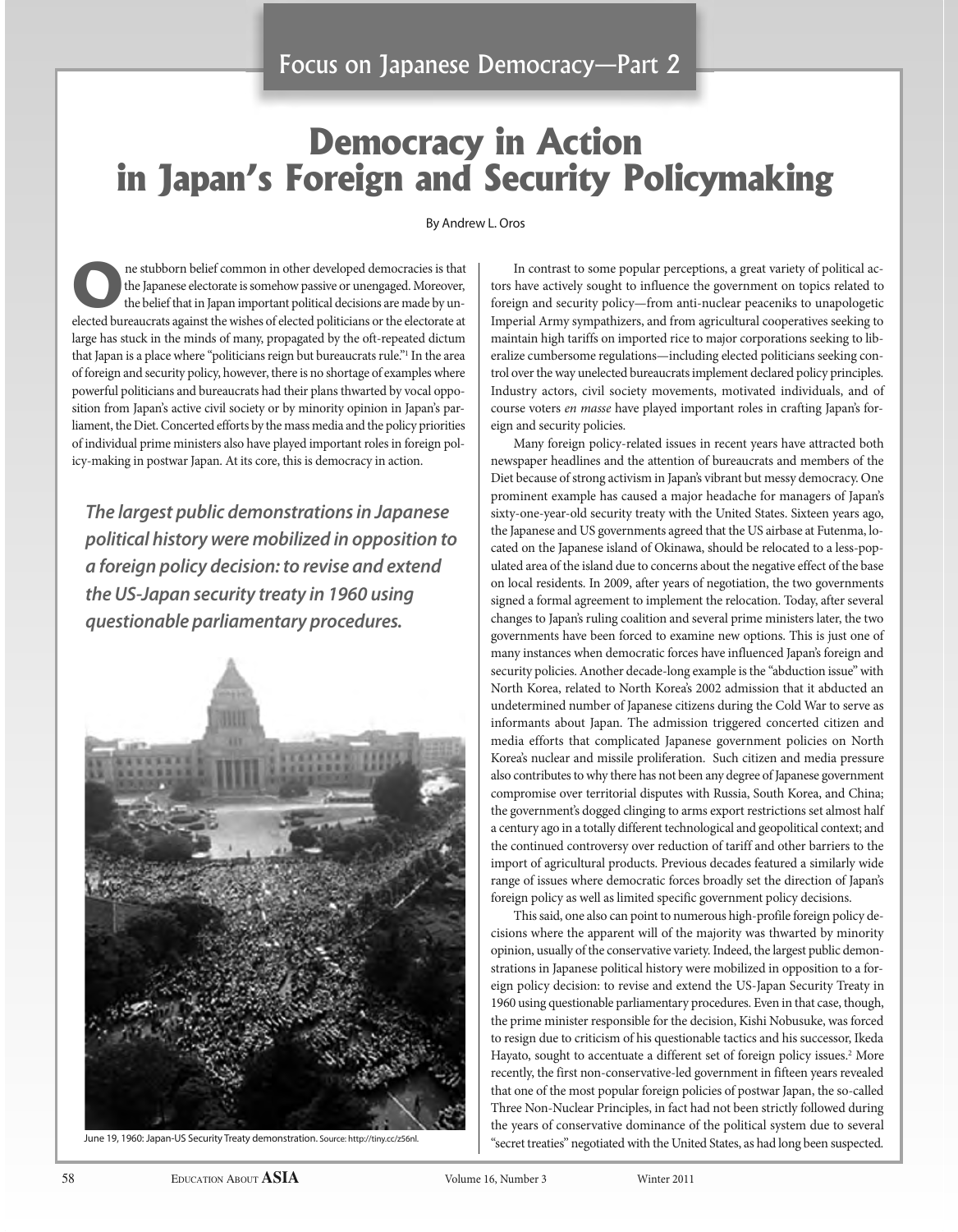# **Democracy in Action in Japan's Foreign and Security policymaking**

#### By Andrew L. Oros

**one stubborn belief common in other developed democracies is that the Japanese electorate is somehow passive or unengaged. Moreover, the belief that in Japan important political decisions are made by un**the Japanese electorate is somehow passive or unengaged. Moreover, the belief that in Japan important political decisions are made by unelected bureaucrats against the wishes of elected politicians or the electorate at large has stuck in the minds of many, propagated by the oft-repeated dictum that Japan is a place where "politicians reign but bureaucrats rule."1 In the area of foreign and security policy, however, there is no shortage of examples where powerful politicians and bureaucrats had their plans thwarted by vocal opposition from Japan's active civil society or by minority opinion in Japan's parliament, the Diet. Concerted efforts by the mass media and the policy priorities of individual prime ministers also have played important roles in foreign policy-making in postwar Japan. At its core, this is democracy in action.

*The largest public demonstrations in Japanese political history were mobilized in opposition to a foreign policy decision: to revise and extend the US-Japan security treaty in 1960 using questionable parliamentary procedures.*



June 19, 1960: Japan-US Security Treaty demonstration. Source: http://tiny.cc/z56nl.

In contrast to some popular perceptions, a great variety of political actors have actively sought to influence the government on topics related to foreign and security policy—from anti-nuclear peaceniks to unapologetic Imperial Army sympathizers, and from agricultural cooperatives seeking to maintain high tariffs on imported rice to major corporations seeking to liberalize cumbersome regulations—including elected politicians seeking control over the way unelected bureaucrats implement declared policy principles. Industry actors, civil society movements, motivated individuals, and of course voters en masse have played important roles in crafting Japan's foreign and security policies.

Many foreign policy-related issues in recent years have attracted both newspaper headlines and the attention of bureaucrats and members of the Diet because of strong activism in Japan's vibrant but messy democracy. One prominent example has caused a major headache for managers of Japan's sixty-one-year-old security treaty with the United States. Sixteen years ago, the Japanese and US governments agreed that the US airbase at Futenma, located on the Japanese island of Okinawa, should be relocated to a less-populated area of the island due to concerns about the negative effect of the base on local residents. In 2009, after years of negotiation, the two governments signed a formal agreement to implement the relocation. Today, after several changes to Japan's ruling coalition and several prime ministers later, the two governments have been forced to examine new options. This is just one of many instances when democratic forces have influenced Japan's foreign and security policies. Another decade-long example is the "abduction issue" with North Korea, related to North Korea's 2002 admission that it abducted an undetermined number of Japanese citizens during the Cold War to serve as informants about Japan. The admission triggered concerted citizen and media efforts that complicated Japanese government policies on North Korea's nuclear and missile proliferation. Such citizen and media pressure also contributes to why there has not been any degree of Japanese government compromise over territorial disputes with Russia, South Korea, and China; the government's dogged clinging to arms export restrictions set almost half a century ago in a totally different technological and geopolitical context; and the continued controversy over reduction of tariff and other barriers to the import of agricultural products. Previous decades featured a similarly wide range of issues where democratic forces broadly set the direction of Japan's foreign policy as well as limited specific government policy decisions.

This said, one also can point to numerous high-profile foreign policy decisions where the apparent will of the majority was thwarted by minority opinion, usually of the conservative variety. Indeed, the largest public demonstrations in Japanese political history were mobilized in opposition to a foreign policy decision: to revise and extend the US-Japan Security Treaty in 1960 using questionable parliamentary procedures. Even in that case, though, the prime minister responsible for the decision, Kishi Nobusuke, was forced to resign due to criticism of his questionable tactics and his successor, Ikeda Hayato, sought to accentuate a different set of foreign policy issues.<sup>2</sup> More recently, the first non-conservative-led government in fifteen years revealed that one of the most popular foreign policies of postwar Japan, the so-called Three Non-Nuclear Principles, in fact had not been strictly followed during the years of conservative dominance of the political system due to several "secret treaties" negotiated with the United States, as had long been suspected.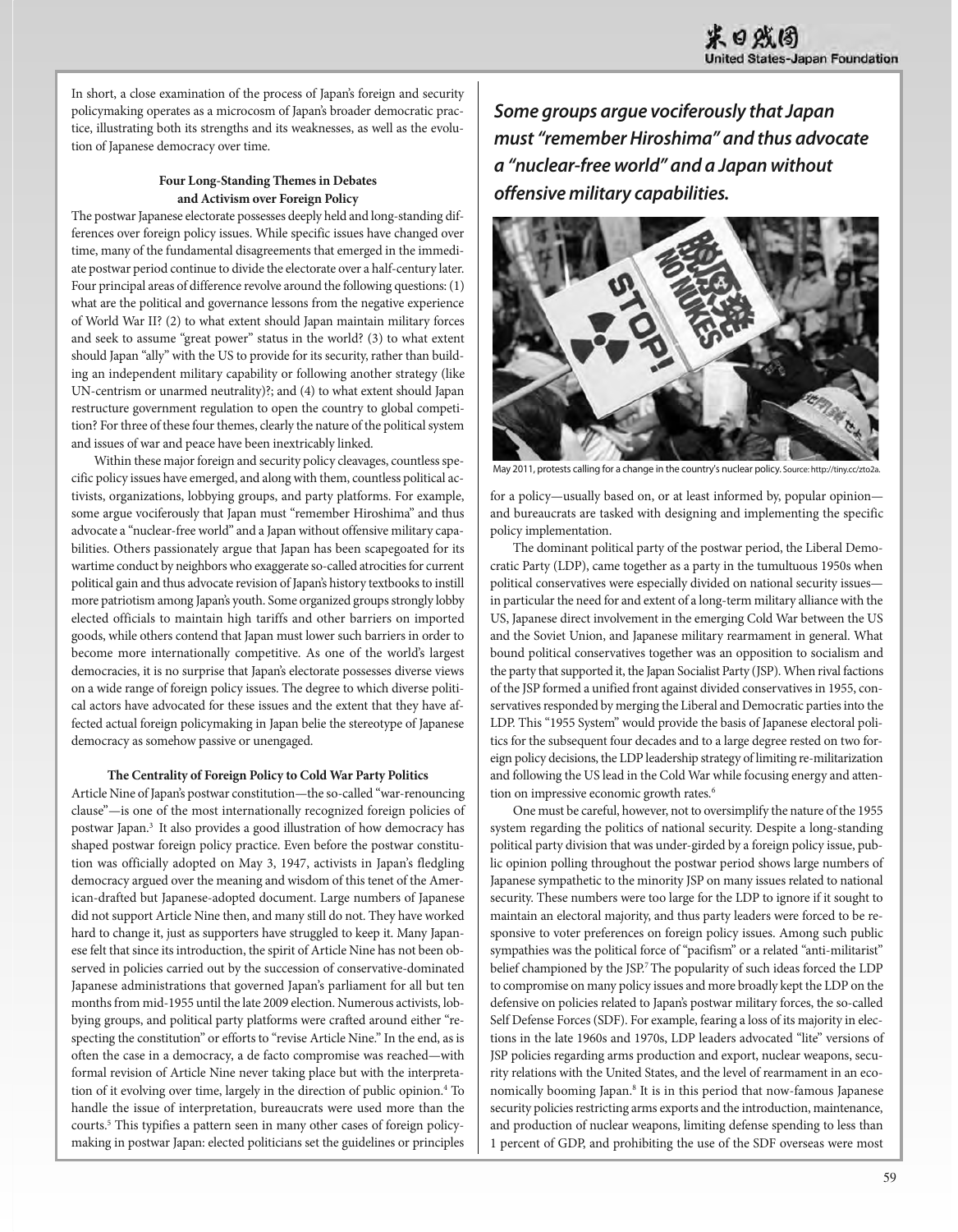In short, a close examination of the process of Japan's foreign and security policymaking operates as a microcosm of Japan's broader democratic practice, illustrating both its strengths and its weaknesses, as well as the evolution of Japanese democracy over time.

### **Four Long-Standing Themes in Debates and activism over Foreign Policy**

The postwar Japanese electorate possesses deeply held and long-standing differences over foreign policy issues. While specific issues have changed over time, many of the fundamental disagreements that emerged in the immediate postwar period continue to divide the electorate over a half-century later. Four principal areas of difference revolve around the following questions: (1) what are the political and governance lessons from the negative experience of World War II? (2) to what extent should Japan maintain military forces and seek to assume "great power" status in the world? (3) to what extent should Japan "ally" with the US to provide for its security, rather than building an independent military capability or following another strategy (like UN-centrism or unarmed neutrality)?; and (4) to what extent should Japan restructure government regulation to open the country to global competition? For three of these four themes, clearly the nature of the political system and issues of war and peace have been inextricably linked.

Within these major foreign and security policy cleavages, countless specific policy issues have emerged, and along with them, countless political activists, organizations, lobbying groups, and party platforms. For example, some argue vociferously that Japan must "remember Hiroshima" and thus advocate a "nuclear-free world" and a Japan without offensive military capabilities. Others passionately argue that Japan has been scapegoated for its wartime conduct by neighbors who exaggerate so-called atrocities for current political gain and thus advocate revision of Japan's history textbooks to instill more patriotism among Japan's youth. Some organized groups strongly lobby elected officials to maintain high tariffs and other barriers on imported goods, while others contend that Japan must lower such barriers in order to become more internationally competitive. As one of the world's largest democracies, it is no surprise that Japan's electorate possesses diverse views on a wide range of foreign policy issues. The degree to which diverse political actors have advocated for these issues and the extent that they have affected actual foreign policymaking in Japan belie the stereotype of Japanese democracy as somehow passive or unengaged.

#### **The Centrality of Foreign Policy to Cold War Party Politics**

Article Nine of Japan's postwar constitution—the so-called "war-renouncing clause"—is one of the most internationally recognized foreign policies of postwar Japan.3 It also provides a good illustration of how democracy has shaped postwar foreign policy practice. Even before the postwar constitution was officially adopted on May 3, 1947, activists in Japan's fledgling democracy argued over the meaning and wisdom of this tenet of the American-drafted but Japanese-adopted document. Large numbers of Japanese did not support Article Nine then, and many still do not. They have worked hard to change it, just as supporters have struggled to keep it. Many Japanese felt that since its introduction, the spirit of Article Nine has not been observed in policies carried out by the succession of conservative-dominated Japanese administrations that governed Japan's parliament for all but ten months from mid-1955 until the late 2009 election. Numerous activists, lobbying groups, and political party platforms were crafted around either "respecting the constitution" or efforts to "revise Article Nine." In the end, as is often the case in a democracy, a de facto compromise was reached—with formal revision of Article Nine never taking place but with the interpretation of it evolving over time, largely in the direction of public opinion.<sup>4</sup> To handle the issue of interpretation, bureaucrats were used more than the courts.<sup>5</sup> This typifies a pattern seen in many other cases of foreign policymaking in postwar Japan: elected politicians set the guidelines or principles

*Some groups argue vociferously that Japan must "remember Hiroshima" and thus advocate a "nuclear-free world" and a Japan without offensive military capabilities.*



May 2011, protests calling for a change in the country's nuclear policy. Source: http://tiny.cc/zto2a.

for a policy—usually based on, or at least informed by, popular opinion and bureaucrats are tasked with designing and implementing the specific policy implementation.

The dominant political party of the postwar period, the Liberal Democratic Party (LDP), came together as a party in the tumultuous 1950s when political conservatives were especially divided on national security issues in particular the need for and extent of a long-term military alliance with the US, Japanese direct involvement in the emerging Cold War between the US and the Soviet Union, and Japanese military rearmament in general. What bound political conservatives together was an opposition to socialism and the party that supported it, the Japan Socialist Party (JSP). When rival factions of the JSP formed a unified front against divided conservatives in 1955, conservatives responded by merging the Liberal and Democratic parties into the LDP. This "1955 System" would provide the basis of Japanese electoral politics for the subsequent four decades and to a large degree rested on two foreign policy decisions, the LDP leadership strategy of limiting re-militarization and following the US lead in the Cold War while focusing energy and attention on impressive economic growth rates.<sup>6</sup>

One must be careful, however, not to oversimplify the nature of the 1955 system regarding the politics of national security. Despite a long-standing political party division that was under-girded by a foreign policy issue, public opinion polling throughout the postwar period shows large numbers of Japanese sympathetic to the minority JSP on many issues related to national security. These numbers were too large for the LDP to ignore if it sought to maintain an electoral majority, and thus party leaders were forced to be responsive to voter preferences on foreign policy issues. Among such public sympathies was the political force of "pacifism" or a related "anti-militarist" belief championed by the JSP.<sup>7</sup> The popularity of such ideas forced the LDP to compromise on many policy issues and more broadly kept the LDP on the defensive on policies related to Japan's postwar military forces, the so-called Self Defense Forces (SDF). For example, fearing a loss of its majority in elections in the late 1960s and 1970s, LDP leaders advocated "lite" versions of JSP policies regarding arms production and export, nuclear weapons, security relations with the United States, and the level of rearmament in an economically booming Japan.8 It is in this period that now-famous Japanese security policies restricting arms exports and the introduction, maintenance, and production of nuclear weapons, limiting defense spending to less than 1 percent of GDP, and prohibiting the use of the SDF overseas were most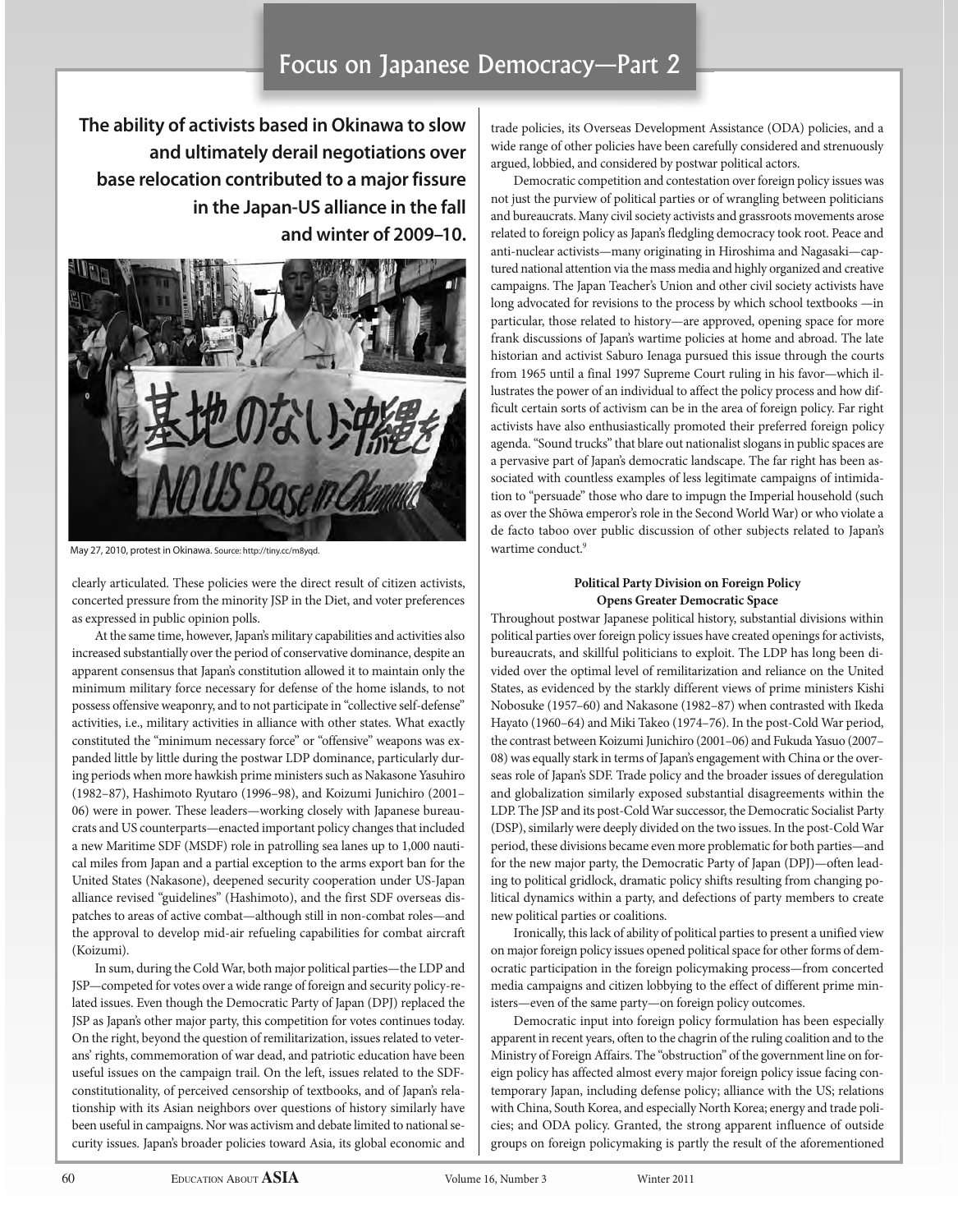## Focus on Japanese Democracy—Part 2

**The ability of activists based in Okinawa to slow and ultimately derail negotiations over base relocation contributed to a major fissure in the Japan-US alliance in the fall and winter of 2009–10.**



May 27, 2010, protest in okinawa. Source: http://tiny.cc/m8yqd.

clearly articulated. These policies were the direct result of citizen activists, concerted pressure from the minority JSP in the Diet, and voter preferences as expressed in public opinion polls.

At the same time, however, Japan's military capabilities and activities also increased substantially over the period of conservative dominance, despite an apparent consensus that Japan's constitution allowed it to maintain only the minimum military force necessary for defense of the home islands, to not possess offensive weaponry, and to not participate in "collective self-defense" activities, i.e., military activities in alliance with other states. What exactly constituted the "minimum necessary force" or "offensive" weapons was expanded little by little during the postwar LDP dominance, particularly during periods when more hawkish prime ministers such as Nakasone Yasuhiro (1982–87), Hashimoto Ryutaro (1996–98), and Koizumi Junichiro (2001– 06) were in power. These leaders—working closely with Japanese bureaucrats and US counterparts—enacted important policy changes that included a new Maritime SDF (MSDF) role in patrolling sea lanes up to 1,000 nautical miles from Japan and a partial exception to the arms export ban for the United States (Nakasone), deepened security cooperation under US-Japan alliance revised "guidelines" (Hashimoto), and the first SDF overseas dispatches to areas of active combat—although still in non-combat roles—and the approval to develop mid-air refueling capabilities for combat aircraft (Koizumi).

In sum, during the Cold War, both major political parties—the LDP and JSP—competed for votes over a wide range of foreign and security policy-related issues. Even though the Democratic Party of Japan (DPJ) replaced the JSP as Japan's other major party, this competition for votes continues today. On the right, beyond the question of remilitarization, issues related to veterans' rights, commemoration of war dead, and patriotic education have been useful issues on the campaign trail. On the left, issues related to the SDFconstitutionality, of perceived censorship of textbooks, and of Japan's relationship with its Asian neighbors over questions of history similarly have been useful in campaigns. Nor was activism and debate limited to national security issues. Japan's broader policies toward Asia, its global economic and

trade policies, its Overseas Development Assistance (ODA) policies, and a wide range of other policies have been carefully considered and strenuously argued, lobbied, and considered by postwar political actors.

Democratic competition and contestation over foreign policy issues was not just the purview of political parties or of wrangling between politicians and bureaucrats. Many civil society activists and grassroots movements arose related to foreign policy as Japan's fledgling democracy took root. Peace and anti-nuclear activists—many originating in Hiroshima and Nagasaki—captured national attention via the mass media and highly organized and creative campaigns. The Japan Teacher's Union and other civil society activists have long advocated for revisions to the process by which school textbooks —in particular, those related to history—are approved, opening space for more frank discussions of Japan's wartime policies at home and abroad. The late historian and activist Saburo Ienaga pursued this issue through the courts from 1965 until a final 1997 Supreme Court ruling in his favor—which illustrates the power of an individual to affect the policy process and how difficult certain sorts of activism can be in the area of foreign policy. Far right activists have also enthusiastically promoted their preferred foreign policy agenda. "Sound trucks" that blare out nationalist slogans in public spaces are a pervasive part of Japan's democratic landscape. The far right has been associated with countless examples of less legitimate campaigns of intimidation to "persuade" those who dare to impugn the Imperial household (such as over the Shōwa emperor's role in the Second World War) or who violate a de facto taboo over public discussion of other subjects related to Japan's wartime conduct.<sup>9</sup>

### **Political Party Division on Foreign Policy opens greater Democratic Space**

Throughout postwar Japanese political history, substantial divisions within political parties over foreign policy issues have created openings for activists, bureaucrats, and skillful politicians to exploit. The LDP has long been divided over the optimal level of remilitarization and reliance on the United States, as evidenced by the starkly different views of prime ministers Kishi Nobosuke (1957–60) and Nakasone (1982–87) when contrasted with Ikeda Hayato (1960–64) and Miki Takeo (1974–76). In the post-Cold War period, the contrast between Koizumi Junichiro (2001–06) and Fukuda Yasuo (2007– 08) was equally stark in terms of Japan's engagement with China or the overseas role of Japan's SDF. Trade policy and the broader issues of deregulation and globalization similarly exposed substantial disagreements within the LDP. The JSP and its post-Cold War successor, the Democratic Socialist Party (DSP), similarly were deeply divided on the two issues. In the post-Cold War period, these divisions became even more problematic for both parties—and for the new major party, the Democratic Party of Japan (DPJ)—often leading to political gridlock, dramatic policy shifts resulting from changing political dynamics within a party, and defections of party members to create new political parties or coalitions.

Ironically, this lack of ability of political parties to present a unified view on major foreign policy issues opened political space for other forms of democratic participation in the foreign policymaking process—from concerted media campaigns and citizen lobbying to the effect of different prime ministers—even of the same party—on foreign policy outcomes.

Democratic input into foreign policy formulation has been especially apparent in recent years, often to the chagrin of the ruling coalition and to the Ministry of Foreign Affairs. The "obstruction" of the government line on foreign policy has affected almost every major foreign policy issue facing contemporary Japan, including defense policy; alliance with the US; relations with China, South Korea, and especially North Korea; energy and trade policies; and ODA policy. Granted, the strong apparent influence of outside groups on foreign policymaking is partly the result of the aforementioned